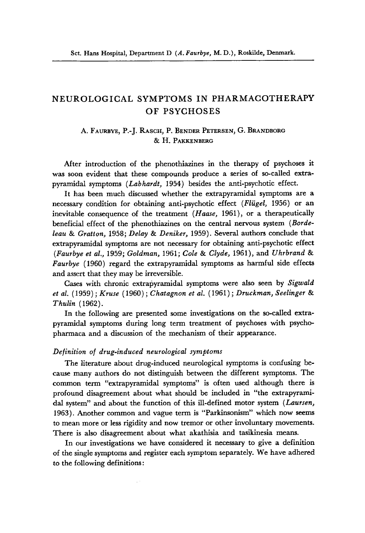# **NEUROLOGICAL SYMPTOMS IN PHARMACOTHERAPY OF PSYCHOSES**

# A. FAURBYE, P.- J. **RASCH,** P. BENDER PETERSEN, G.BRANDBORG & H. PAKKENBERG

After introduction of the phenothiazines in the therapy of psychoses it was soon evident that these compounds produce a series of so-called extrapyramidal symptoms *(Labhardt,* 1954) besides the anti-psychotic effect.

It **has** been much discussed whether the extrapyramidal symptoms are a necessary condition for obtaining anti-psychotic effect *(Fliigel,* 1956) **or** an inevitable consequence of the treatment *(Haase,* 1961 ), or a therapeutically beneficial effect of the phenothiazines on the central nervous system *(Bordeleau* & *Gratton,* 1958; *Delay* & *Deniker,* 1959). Several authors conclude that extrapyramidal symptoms are not necessary for obtaining anti-psychotic effect *(Faurbye et* al., 1959; *Goldman,* 1961; *Cole* & *Clyde,* 1961), and *Uhrbrand* & *Faurbye* (1960) regard the extrapyramidal symptoms **as** harmful side effects and assert that they may be irreversible.

Cases with chronic extrapyramidal symptoms were also seen by *Sigwald at* al. (1959) ; *Kruse* ( 1960) ; *Chatagnon et al.* (1961) ; *Druckman, Seelinger* & *Thulin* ( 1962).

In the following are presented some investigations on the so-called extrapyramidal symptoms during long term treatment of psychoses with psychopharmaca and a discussion of the mechanism of their appearance.

# *Definition of drug-induced neurological symptoms*

The literature about drug-induced neurological symptoms is confusing because many authors do not distinguish between the different symptoms. The common term "extrapyramidal symptoms" is often used although there is profound disagreement about what should be included in "the extrapyramidal system" and about the function of this ill-defined motor system *(Laursen,*  1963). Another common and vague term is "Parkinsonism') which now seems to mean more or less rigidity and now tremor or other involuntary movements. There is also disagreement about what akathisia and tasikinesia means.

In our investigations we have considered it necessary to give a definition of the single symptoms and register each symptom separately. We have adhered to the following definitions: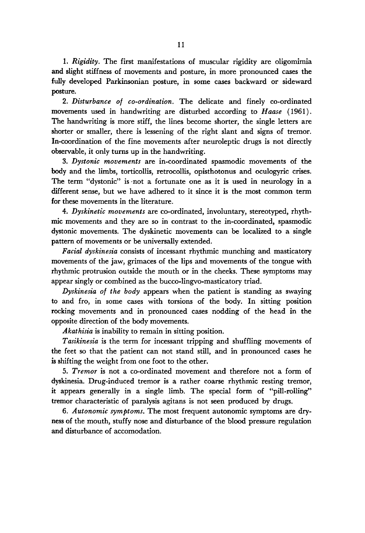1. *Rigidity.* The first manifestations of muscular rigidity are oligomimia and slight stiffness of movements and posture, in more pronounced cases the fully developed Parkinsonian posture, in some cases backward or sideward posture.

*2. Disturbance of co-ordination.* The delicate and finely co-ordinated movements used in handwriting are disturbed according to *Hause* (1961). The handwriting is more stiff, the lines become shorter, the single letters are shorter or smaller, there is lessening of the right slant and signs of tremor. In-coordination of the fine movements after neuroleptic drugs is not directly observable, it only turns up in the handwriting.

*3. Dystonic movements* are in-coordinated spasmodic movements of the body and the limbs, torticollis, retrocollis, opisthotonus and oculogyric crises. The term "dystonic" is not a fortunate one as it is used in neurology in a different sense, but we have adhered to it since it is the most common term for these movements in the literature.

*4. Dyskinetic movements* are co-ordinated, involuntary, stereotyped, rhythmic movements and they are so in contrast to the in-coordinated, spasmodic dystonic movements. The dyskinetic movements can be localized to a single pattern of movements or be universally extended.

*Facial dyskinesia* consists of incessant rhythmic munching and masticatory movements of the jaw, grimaces of the lips and movements of the tongue with rhythmic protrusion outside the mouth or in the cheeks. These symptoms may appear singly or combined as the bucco-lingvo-masticatory triad.

*Dyskinesia of the body* appears when the patient is standing as swaying to and fro, in some cases with torsions of the body. In sitting position rocking movements and in pronounced cases nodding of the head in the opposite direction of the body movements.

*Akathisia* is inability to remain in sitting position.

*Tusikinesia* is the term for incessant tripping and shuffling movements of the feet so that the patient can not stand still, and in pronounced cases he **is** shifting the weight from one foot to the other.

*5. Tremor* is not a co-ordinated movement and therefore not a form **of**  dyskinesia. Drug-induced tremor is a rather coarse rhythmic resting tremor, it appears generally in a single limb. The special form of "pill-rolling" tremor characteristic of paralysis agitans is not seen produced by drugs.

6. *Autonomic symptoms.* The most frequent autonomic symptoms are dryness of the mouth, stuffy nose and disturbance of the blood pressure regulation and disturbance of accomodation.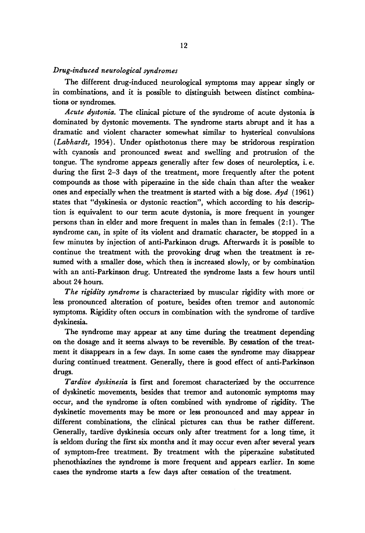# *Drug-induced neurological syndromes*

The different drug-induced neurological symptoms may appear singly or in combinations, and it is possible to distinguish between distinct combinations or syndromes.

*Acute dystonia.* The clinical picture of the syndrome of acute dystonia is dominated by dystonic movements. The syndrome starts abrupt and it has a dramatic and violent character somewhat similar to hysterical convulsions *(Labhardt,* 1954). Under opisthotonus there may be stridorous respiration with cyanosis and pronounced sweat and swelling and protrusion of the tongue. The syndrome appeas generally after few doses of neuroleptics, i.e. during the first 2-3 days of the treatment, more frequently after the potent compounds as those with piperazine in the side chain than after the weaker ones and especially when the treatment is started with a big dose. *Ayd* (1961) states that "dyskinesia or dystonic reaction", which according to **his** description is equivalent to our term acute dystonia, is more frequent in younger persons than in elder and more frequent in males than in females  $(2:1)$ . The syndrome can, in spite of its violent **and** dramatic character, be stopped in a few minutes by injection of anti-Parkinson drugs. Afterwards it is possible to continue the treatment with the provoking drug when the treatment is resumed with a smaller dose, which then is increased slowly, or by combination with an anti-Parkinson drug. Untreated the syndrome lasts a few hours until about 24 hours.

*The rigidity syndrome* is characterized by muscular rigidity with more or less pronounced alteration of posture, besides often tremor and autonomic symptoms. Rigidity often occurs in combination with the syndrome of tardive dyskinesia.

The syndrome may appear at any time during the treatment depending on the dosage and it seems always to be reversible. By cessation of the treatment it disappears in a few days. In some cases the syndrome may disappear during continued treatment. Generally, there is good effect of anti-Parkinson drugs.

*Tardive dyskinesia* is first and foremost characterized by the occurrence of dyskinetic movements, besides that tremor and autonomic symptoms may occur, and the syndrome is often combined with syndrome of rigidity. The dyskinetic movements may be more or less pronounced and may appear in different combinations, the clinical pictures can thus be rather different. Generally, tardive dyskinesia occurs only after treatment for a long time, it is seldom during the first *six* months and it may occur even after several years of symptom-free treatment. By treatment with the piperazine substituted phenothiazines the syndrome is more frequent and appears earlier. In some cases the syndrome starts a few days after cessation of the treatment.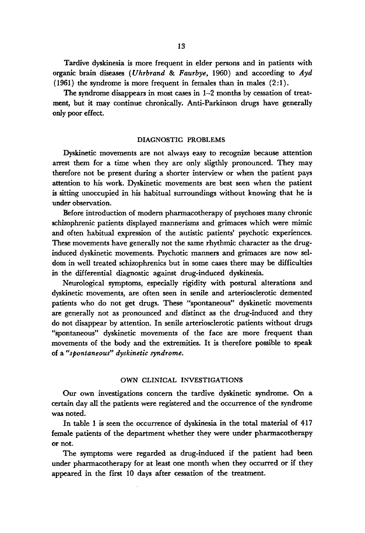Tardive dyskinesia is more frequent in elder persons and in patients with organic brain diseases *(Uhrbrand* & *Faurbye,* 1960) and according to *Ayd*   $(1961)$  the syndrome is more frequent in females than in males  $(2:1)$ .

The syndrome disappears in most cases in 1-2 months by cessation of treatment, but it may continue chronically. Anti-Parkinson drugs have generally only poor effect.

### **DIAGNOSTIC PROBLEMS**

Dyskinetic movements are not always easy to recognize because attention arrest them for a time when they are only sligthly pronounced. They may therefore not be present during a shorter interview or when the patient pays attention to his work. Dyskinetic movements are best seen when the patient is sitting unoccupied in his habitual surroundings without knowing that he is under observation.

Before introduction of modern pharmacotherapy of psychoses many chronic schizophrenic patients displayed mannerisms and grimaces which were mimic and often habitual expression of the autistic patients' psychotic experiences. These movements have generally not the same rhythmic character **as** the druginduced dyskinetic movements. Psychotic manners and grimaces are now seldom in well treated schizophrenics but in some cases there may be difficulties in the differential diagnostic against drug-induced dyskinesia.

Neurological symptoms, especially rigidity with postural alterations and dyskinetic movements, are often seen in senile and arteriosclerotic demented patients who do not get drugs. These "spontaneous" dyskinetic movements are generally not as pronounced and distinct **as** the drug-induced and they do not disappear by attention. In senile arteriosclerotic patients without drugs "spontaneous" dyskinetic movements of the face are more frequent than movements of the body and the extremities. It is therefore possible to speak of a *"spontaneous" dyskinetic syndrome.* 

# **OWN CLINICAL INVESTIGATIONS**

Our own investigations concern the tardive dyskinetic syndrome. On a certain day **all** the patients were registered and the occurrence of the syndrome was noted.

In table 1 is seen the occurrence of dyskinesia in the total material of **417**  female patients of the department whether they were under pharmacotherapy or not.

The symptoms were regarded **as** drug-induced if the patient had been under pharmacotherapy for at least one month when they occurred or if they appeared in the first 10 days after cessation of the treatment.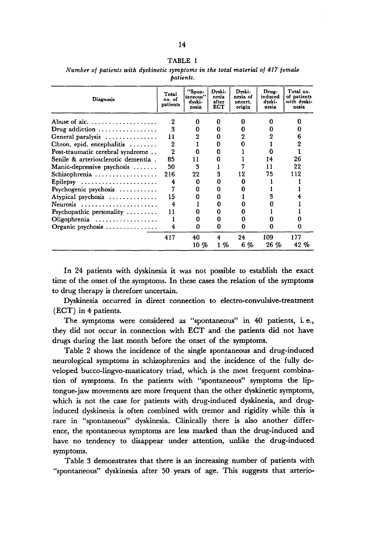#### **TABLE 1**

| Diagnosis                                          | Total<br>no. of<br>patients | "Spon-<br>taneous"<br>dyski-<br>nesia | Dyski-<br>nesia<br>after<br>ECT | Dyski-<br>nesia of<br>uncert.<br>origin | Drug-<br>induced<br>dyski-<br>nesia | Total no.<br>of patients<br>with dyski-<br>nesia |
|----------------------------------------------------|-----------------------------|---------------------------------------|---------------------------------|-----------------------------------------|-------------------------------------|--------------------------------------------------|
|                                                    | 2                           | n                                     | n                               | 0                                       | о                                   |                                                  |
| Drug addiction $\ldots \ldots \ldots \ldots$       | 3                           |                                       |                                 | 0                                       |                                     |                                                  |
| General paralysis $\dots\dots\dots\dots\dots$      | 11                          |                                       |                                 | 2                                       | 2                                   | 6                                                |
| Chron, epid. encephalitis $\ldots \ldots$          | $\overline{2}$              |                                       |                                 |                                         |                                     |                                                  |
| Post-traumatic cerebral syndrome                   | $\overline{2}$              |                                       |                                 |                                         |                                     |                                                  |
| Senile & arteriosclerotic dementia.                | 85                          |                                       |                                 |                                         | 14                                  | 26                                               |
| Manic-depressive psychosis $\dots\dots$            | 50                          | 3                                     |                                 |                                         | 11                                  | 22                                               |
| $Schizophrenia \ldots \ldots \ldots \ldots \ldots$ | 216                         | 22                                    | 3                               | 12                                      | 75                                  | 112                                              |
| Epilepsy                                           | 4                           |                                       |                                 |                                         |                                     |                                                  |
| Psychogenic psychosis                              |                             |                                       |                                 |                                         |                                     |                                                  |
| Atypical psychosis                                 | 15                          |                                       |                                 |                                         | 3                                   |                                                  |
| Neurosis                                           | 4                           |                                       |                                 |                                         |                                     |                                                  |
| Psychopathic personality $\dots\dots\dots$         | 11                          |                                       |                                 |                                         |                                     |                                                  |
| Oligophrenia $\ldots \ldots \ldots \ldots \ldots$  |                             |                                       |                                 | 0                                       |                                     |                                                  |
| Organic psychosis $\ldots \ldots \ldots \ldots$    | 4                           | n                                     | n                               | n                                       | o                                   | o                                                |
|                                                    | 417                         | 40                                    | 4                               | 24                                      | 109                                 | 177                                              |
|                                                    |                             | $10 \%$                               | 1 %                             | 6 %                                     | $26\%$                              | 42%                                              |

*Number of patients with dyskinetic symptoms in the total material of 417 female patients.* 

In 24 patients with dyskinesia it was not possible to establish the exact time of the onset of the symptoms. In these cases the relation of the symptom to drug therapy is therefore uncertain.

Dyskinesia occurred in direct connection to **electro-convulsive-treatment**  (ECT) in **4** patients.

The symptoms were considered **as** "spontaneous" in **40** patients, i.e., they did not occur in connection with ECT and the patients did not have drugs during the last month before the onset **of** the symptoms.

Table 2 shows the incidence of the single spontaneous and drug-induced neurological symptoms in schizophrenics and the incidence of the fully developed bucco-lingvo-masticatory triad, which is the most frequent combination of symptoms. In the patients with "spontaneous" symptoms the liptongue-jaw movements are more frequent than the other dyskinetic symptoms, which is not the case for patients with drug-induced dyskinesia, and druginduced dyskinesia is often combined with tremor and rigidity while this **is**  rare in "spontaneous" dyskinesia. Clinically there is also another difference, the spontaneous symptoms are less marked than the drug-induced and have no tendency to disappear under attention, unlike the drug-induced symptoms.

Table **3** demonstrates that there is an increasing number of patients with "spontaneous" dyskinesia after 50 years of age. This suggests that arterio-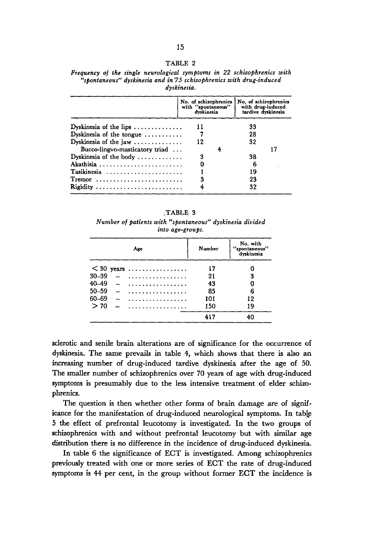#### **TABLE 2**

|  |  |             |  | Frequency of the single neurological symptoms in 22 schizophrenics with |  |
|--|--|-------------|--|-------------------------------------------------------------------------|--|
|  |  |             |  | "spontaneous" dyskinesia and in 75 schizophrenics with drug-induced     |  |
|  |  | dyskinesia. |  |                                                                         |  |

|                                               | No. of schizophrenics<br>with "spontaneous"<br>dvskinesia | No. of schizophrenics<br>with drug-induced<br>tardive dyskinesia |  |
|-----------------------------------------------|-----------------------------------------------------------|------------------------------------------------------------------|--|
| Dyskinesia of the lips $\dots\dots\dots\dots$ | 11                                                        | 33                                                               |  |
| Dyskinesia of the tongue                      |                                                           | 28                                                               |  |
| Dyskinesia of the jaw $\dots\dots\dots\dots$  | 12                                                        | 32                                                               |  |
| Bucco-lingvo-masticatory triad                | 4                                                         |                                                                  |  |
| Dyskinesia of the body $\dots\dots\dots\dots$ | 3                                                         | 38                                                               |  |
| Akathisia                                     | 0                                                         | 6                                                                |  |
| Tasikinesia                                   |                                                           | 19                                                               |  |
| $Tremor$                                      | 3                                                         | 23                                                               |  |
| Rigidity                                      |                                                           | 32                                                               |  |

**.TABLE 3**  *Number* **of** *patients with "spontaneous" dyskinesia divided into age-groups.* 

| Age       |  | Number          | No. with<br>"spontaneous"<br>dyskinesia |    |
|-----------|--|-----------------|-----------------------------------------|----|
|           |  | $\leq$ 30 years | 17                                      | O  |
| 30-39     |  | .               | 21                                      | 3  |
| 40-49     |  |                 | 43                                      | 0  |
| $50 - 59$ |  | . <u>.</u>      | 85                                      | 6  |
| 60-69     |  | .               | 101                                     | 12 |
| >70       |  | .               | 150                                     | 19 |
|           |  |                 | 417                                     | 40 |

sclerotic and senile brain alterations are of significance for the occurrence of dyskinesia. The same prevails in table **4,** which shows that there **is** also an increasing number of drug-induced tardive dyskinesia after the age of 50. The smaller number of schizophrenics over 70 years of age with drug-induced symptoms is presumably due to the less intensive treatment of elder schizophrenics.

The question is then whether other forms of brain damage are of significance for the manifestation of drug-induced neurological symptoms. In table **5** the effect of prefrontal leucotomy is investigated. In the two groups of schizophrenics with and without prefrontal leucotomy but with similar age distribution there is no difference in the incidence of drug-induced dyskinesia.

In table **6** the significance of ECT is investigated. Among schizophrenics previously treated with one or more series of ECT the rate of drug-induced symptoms is **44** per cent, in the group without former ECT the incidence is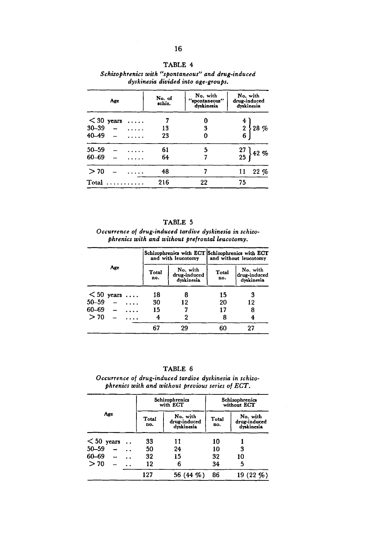| R۱<br>. . |  |
|-----------|--|
|-----------|--|

| Age                      | No. of<br>schiz. | No. with<br>"spontaneous"<br>dyskinesia | No. with<br>drug-induced<br>dvskinesia       |
|--------------------------|------------------|-----------------------------------------|----------------------------------------------|
| $<$ 30 years<br>$\cdots$ |                  | 0                                       | 4                                            |
| $30 - 39$<br>.           | 13               | 3                                       | $28 \%$                                      |
| 40-49                    | 23               | 0                                       | $\begin{array}{c} 2 \\ 6 \end{array}$        |
| $50 - 59$                | 61               | 5                                       |                                              |
| 60-69                    | 64               | 7                                       | $\begin{array}{c} 27 \\ 25 \end{array}$ 42 % |
| >70                      | 48               |                                         | 22%<br>11                                    |
| Total                    | 216              | 22                                      | 75                                           |

*Schizophrenics with 'gspontaneous" and drug-induced dyskinesia divided into age-groups.* 

| г |  |
|---|--|
|---|--|

*Occurrence* **of** *drug-induced tardive dyskinesia* **in** *schizophrenics with and without prefrontal leucotomy.* 

|              |     |   | and with leucotomy | Schizophrenics with ECT Schizophrenics with ECT<br>and without leucotomy |              |                                        |
|--------------|-----|---|--------------------|--------------------------------------------------------------------------|--------------|----------------------------------------|
|              | Age |   | Total<br>no.       | No. with<br>drug-induced<br>dyskinesia                                   | Total<br>no. | No. with<br>drug-induced<br>dyskinesia |
| $< 50$ years |     |   | 18                 | 8                                                                        | 15           | 3                                      |
| 50-59        |     | . | 30                 | 12                                                                       | 20           | 12                                     |
| 60-69        |     |   | 15                 |                                                                          | 17           | 8                                      |
| >70          |     |   | 4                  | 2                                                                        | 8            |                                        |
|              |     |   | 67                 | 29                                                                       | 60           | 27                                     |

TABLE *6* 

*Occurrence* **of** *drug-induced tardive dyskinesia in schizophrenics with and without previous series of ECT.* 

|              |              | Schizophrenics<br>with ECT             | Schizophrenics<br>without ECT |                                        |  |
|--------------|--------------|----------------------------------------|-------------------------------|----------------------------------------|--|
| Age          | Total<br>no. | No. with<br>drug-induced<br>dyskinesia | <b>Total</b><br>no.           | No. with<br>drug-induced<br>dyskinesia |  |
| $< 50$ years | 33           | 11                                     | 10                            |                                        |  |
| $50 - 59$    | 50           | 24                                     | 10                            | 3                                      |  |
| 60-69<br>. . | 32           | 15                                     | 32                            | 10                                     |  |
| >70<br>. .   | 12           | 6                                      | 34                            | 5                                      |  |
|              | 127          | 56 (44 %)                              | 86                            | 19 (22 %)                              |  |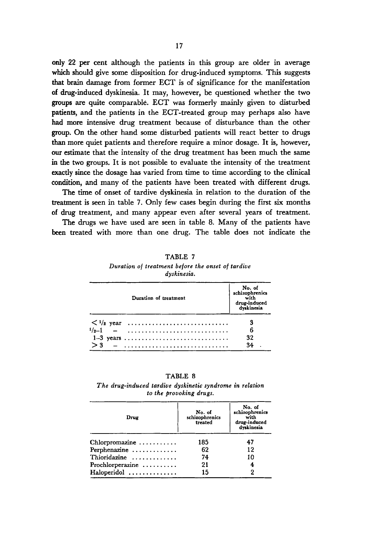**only 22** per cent although the patients in this group are older in average which should give some disposition for drug-induced symptoms. This suggests **that** brain damage from former ECT is of significance for the manifestation **of** drug-induced dyskinesia. It may, however, be questioned whether the two groups are quite comparable. ECT was formerly mainly given to disturbed patients, and the patients in the ECT-treated group may perhaps **also** have had more intensive drug treatment because of disturbance than the other group. On the other hand some disturbed patients will react better to drugs **than** more quiet patients and therefore require a minor dosage. It is, however, **our** estimate that the intensity of the drug treatment has been much the same in the **two** groups. It is not possible to evaluate the intensity of the treatment exactly since the dosage has varied from time to time according to the clinical condition, and many of the patients have been treated with different drugs.

The time of onset of tardive dyskinesia in relation to the duration of the treatment is seen in table 7. Only few cases begin during the first **six** months of drug treatment, and many appear even after several years of treatment.

The drugs we have used are seen in table 8. Many of the patients have **been** treated with more than one drug. The table does not indicate the

|     | No. of<br>schizophrenics<br>with<br>drug-induced<br>dyskinesia |    |
|-----|----------------------------------------------------------------|----|
|     |                                                                | 3  |
|     | $\frac{1}{2} - 1$ -                                            | 6  |
|     | $1-3$ years                                                    | 32 |
| > 3 |                                                                | 34 |

| TABLE 7                                           |
|---------------------------------------------------|
| Duration of treatment before the onset of tardive |
| dyskinesia.                                       |

| <b>TABL</b> |  |
|-------------|--|
|-------------|--|

The drug-induced tardive dyskinetic syndrome in relation to the provoking drugs.

| Drug                                  | No. of<br>schizophrenics<br>treated | No. of<br>schizophrenics<br>with<br>drug-induced<br>dyskinesia |
|---------------------------------------|-------------------------------------|----------------------------------------------------------------|
| $Chlorpromazine \ldots \ldots \ldots$ | 185                                 | 47                                                             |
| Perphenazine                          | 62                                  | 12                                                             |
| Thioridazine                          | 74                                  | 10                                                             |
| Prochlorperazine                      | 21                                  | 4                                                              |
| Haloperidol                           | 15                                  | $\overline{2}$                                                 |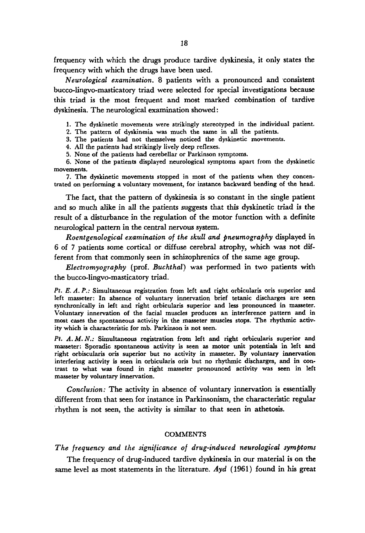frequency with which the drugs produce tardive dyskinesia, it only states the frequency with which the drugs have been used.

*Neurological examination. 8* patients with a pronounced and consistent bucco-lingvo-masticatory triad were selected for special investigations because this triad is the most frequent and most marked combination of tardive dyskinesia. The neurological examination showed :

**1,** The dyskinetic movements were strikingly stereotyped in the individual patient.

2. The pattern of dyskinesia was much the same in all the patients.

3. The patients had not themselves noticed the dyskinetic movements.

**4.** All the patients had strikingly lively deep reflexes.

**5.** None of the patients had cerebellar or Parkinson symptoms.

**6.** None of the patients displayed neurological symptoms apart from the dyskinetic movements.

7. The dyskinetic movements stopped in most of the patients when they concentrated on performing a voluntary movement, for instance backward bending of the head.

The fact, that the pattern of dyskinesia is so constant in the single patient and so much alike in all the patients suggests that this dyskinetic triad is the result of a disturbance in the regulation of the motor function with a definite neurological pattern in the central nervous system.

*Roentgenological examination* of *the skull and pneumography* displayed in *6* of **7** patients some cortical or diffuse cerebral atrophy, which was not different from that commonly seen in schizophrenics of the same age group.

*Electrornyography* (prof. *Buchthal)* was performed in two patients with the bucco-lingvo-masticatory triad.

Pt. E. A. P.: Simultaneous registration from left and right orbicularis oris superior and left masseter: In absence of voluntary innervation brief tetanic discharges are seen synchronically in left and right orbicularis superior and less pronounced in masseter. Voluntary innervation of the facial muscles produces an interference pattern and in most cases the spontaneous activity in the masseter muscles stops. The rhythmic activity which is characteristic for mb. Parkinson is not seen.

Pt. *A.M. N.:* Simultaneous registration from left and right orbicularis superior and masseter: Sporadic spontaneous activity *is* seen **as** motor unit potentials in left and right orbiscularis **oris** superior but **no** activity in masseter. By voluntary innervation interfering activity *is* seen in orbicularis **oris** but no rhythmic discharges, and in contrast to what was found in right masseter pronounced activity was seen in left masseter by voluntary innervation.

*Conclusion:* The activity in absence of voluntary innervation is essentially different from that seen for instance in Parkinsonism, the characteristic **regular**  'rhythm is not seen, the activity is similar to that seen in athetosis.

### **COMMENTS**

*The frequency and the significance of drug-induced neurological symptoms* 

The frequency of drug-induced tardive dyskinesia in our material is on the same level **as** most statements in the literature. *Ayd* (1961) found in **his** great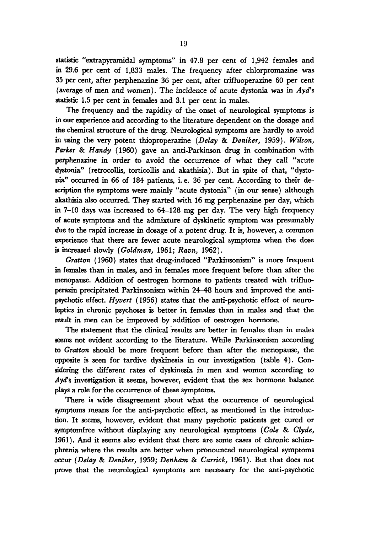statistic "extrapyramidal symptoms" in **47.8** per cent of **1,942** females and **in 29.6** per cent of **1,833** males. The frequency after chlorpromazine was **35** per cent, after perphenazine **36** per cent, after trifluoperazine **60** per cent (average of men and women). The incidence of acute dystonia was in Ayd's statistic **1.5** per cent in females and **3.1** per cent in males.

The frequency and the rapidity of the onset of neurological symptoms is **in OUT** experience and according to the literature dependent on the dosage and **the** chemical structure of the drug. Neurological symptoms are hardly **to** avoid **in** wing the very potent thioproperazine *(Delay* & *Deniker,* **1959).** *Wilson, Parker* & *Handy* **(1960)** gave **an** anti-Parkinson drug in combination with perphenazine in order to avoid the occurrence of what they call "acute dystonia" (retrocollis, torticollis and akathisia). But in spite of that, "dysto**nia"** occurred in **66** of **184** patients, i. e. **36** per cent. According to their description the symptoms were mainly "acute dystonia" (in **our** sense) although akathisia **also** occurred. They started with **16** mg perphenazine per day, which **in 7-10** days was increased to **64-128** mg per day. The very high frequency of acute symptoms and the admixture of dyskinetic symptom was presumably *due* to the rapid increase in dosage of a potent drug. It is, however, a common experience that there are fewer acute neurological symptoms when the dose is increased slowly *(Goldman,* **1961;** *Raun,* **1962).** 

*Gratton* **(1960)** states that drug-induced "Parkinsonism" is more frequent in females than in males, and in females more frequent before than after the menopause. Addition of oestrogen hormone to patients treated with trifluo**perazin** precipitated Parkinsonism within **24-48** hours and improved the antipsychotic effect. *Hyvert* **(1956)** states that the anti-psychotic effect of neuroleptics in chronic psychoses is better in females than in males and that the result in men can be improved by addition of oestrogen hormone.

The statement that the clinical results are better in females than in males seems not evident according to the literature. While Parkinsonism according to *Cratton* should be more frequent before than after the menopause, the opposite is seen for tardive dyskinesia in our investigation (table **4).** Considering the different rates of dyskinesia in men and women according to Ayd's investigation it seems, however, evident that the **sex** hormone balance plays a role for the occurrence of these symptoms.

There **is** wide disagreement about what the occurrence of neurological symptoms means for the anti-psychotic effect, **as** mentioned in the introduction. It seems, however, evident that many psychotic patients get cured or symptomfree without displaying any neurological symptoms *(Cole* & *Clyde,*  1961). And it seems also evident that there are some cases of chronic **schizo**phrenia where the results are better when pronounced neurological symptoms *occur (Delay* & *Deniker,* **1959;** *Denham* & *Carrick,* **1961).** But that does not prove that the neurological symptoms are necessary for the anti-psychotic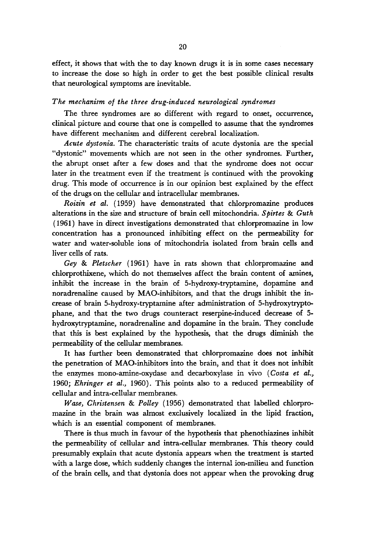effect, it shows that with the to day known drugs it is in some cases necessary to increase the dose so high in order to get the best possible clinical results that neurological symptoms are inevitable.

## *The mechanism of the three drug-induced neurological syndromes*

The three syndromes are so different with regard to onset, occurrence, clinical picture and course that one is compelled to assume that the syndromes have different mechanism and different cerebral localization.

*Acute dystonia.* The characteristic traits of acute dystonia are the special "dystonic" movements which are not seen in the other syndromes. Further, the abrupt onset after a few doses and that the syndrome does not occur later in the treatment even if the treatment is continued with the provoking drug. This mode of occurrence is in our opinion best explained by the effect of the drugs on the cellular and intracellular membranes.

*Roitin et al.* (1959) have demonstrated that chlorpromazine produces alterations in the size and structure of brain cell mitochondria. *Spirtes* & *Guth*  ( 1961 ) have in direct investigations demonstrated that chlorpromazine in low concentration has a pronounced inhibiting effect on the permeability for water and water-soluble ions of mitochondria isolated from **brain** cells and liver cells of rats.

*Gey* & *Pletscher* (1961) have in rats shown that chlorpromazine and chlorprothixene, which do not themselves affect the brain content of amines, inhibit the increase in the brain of 5-hydroxy-tryptamine, dopamine and noradrenaline caused by MAO-inhibitors, and that the drugs inhibit the increase of brain 5-hydroxy-tryptamine after administration of 5-hydroxytryptophane, and that the two drugs counteract reserpine-induced decrease of 5 hydroxytryptamine, noradrenaline and dopamine in the brain. They conclude that this is best explained by the hypothesis, that the drugs diminish the permeability of the cellular membranes.

It has further been demonstrated that chlorpromazine does not inhibit the penetration of MAO-inhibitors into the brain, and that it does not inhibit the enzymes mono-amine-oxydase and decarboxylase in vivo *(Costa et al.,*  1960; *Ehringer et al.,* 1960). This points also to a reduced permeability of cellular and intra-cellular membranes.

*Wase, Christensen* & *Polley* (1956) demonstrated that labelled chlorpromazine in the brain was almost exclusively localized in the lipid fraction, which is an essential component of membranes.

There is thus much in favour of the hypothesis that phenothiazines inhibit the permeability of cellular and intra-cellular membranes. This theory could presumably explain that acute dystonia appears when the treatment is started with a large dose, which suddenly changes the internal ion-milieu and function of the brain cells, and that dystonia does not appear when the provoking drug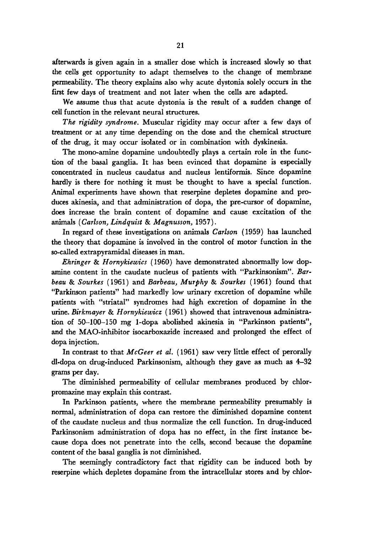afterwards is given again in a smaller dose which is increased slowly so that the cells get opportunity to adapt themselves to the change of membrane permeability. The theory explains also why acute dystonia solely occurs in the first few days of treatment and not later when the cells are adapted.

We assume thus that acute dystonia is the result of a sudden change of cell function in the relevant neural structures.

*The rigidity syndrome.* Muscular rigidity may occur after a few days of treatment or at any time depending on the dose and the chemical structure of the drug, it may occur isolated or in combination with dyskinesia.

The mono-amine dopamine undoubtedly plays a certain role in the function of the basal ganglia. It has been evinced that dopamine is especially concentrated in nucleus caudatus and nucleus lentiformis. Since dopamine hardly is there for nothing it must be thought to have a special function. Animal experiments have shown that reserpine depletes dopamine and produces akinesia, and that administration of dopa, the pre-cursor of dopamine, does increase the brain content of dopamine and cause excitation of the animals *(Carlson, Lindquist* & *Magnusson,* 1957).

In regard of these investigations on animals *Carlson* (1959) has launched the theory that dopamine is involved in the control of motor function in the so-called extrapyramidal diseases in man.

*Ehringer* & *Hornykiewics* ( 1960) have demonstrated abnormally low dopamine content in the caudate nucleus of patients with "Parkinsonism". Bar*beau* & *Sourkes* (1961) and *Barbeau, Murphy* & *Sourkes* (1961) found that "Parkinson patients" had markedly low urinary excretion of dopamine while patients with "striatal" syndromes had high excretion of dopamine in the urine. *Birkmayer* & *Hornykiewicz* ( 1961) showed that intravenous administration of 50-100-150 mg 1-dopa abolished akinesia in "Parkinson patients", and the MAO-inhibitor isocarboxazide increased and prolonged the effect of dopa injection.

In contrast to that *McGeer et* al. (1961) saw very little effect of perorally dl-dopa on drug-induced Parkinsonism, although they gave as much as **4-32**  grams per day.

The diminished permeability of cellular membranes produced by chlorpromazine may explain this contrast.

In Parkinson patients, where the membrane permeability presumably is normal, administration of dopa can restore the diminished dopamine content of the caudate nucleus and thus normalize the cell function. In drug-induced Parkinsonism administration of dopa has no effect, in the first instance because dopa does not penetrate into the cells, second because the dopamine content of the basal ganglia is not diminished.

The seemingly contradictory fact that rigidity can be induced both by reserpine which depletes dopamine from the intracellular stores and by chlor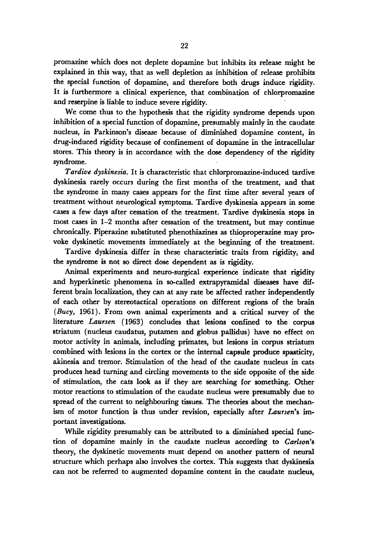promazine which does not deplete dopamine but inhibits its release might be explained in this way, that **as** well depletion **as** inhibition of release prohibits the special function of dopamine, and therefore both **drugs** induce rigidity. It is furthermore a clinical experience, that combination of chlorpromazine and reserpine is liable to induce severe rigidity.

We come thus to the hypothesis that the rigidity syndrome depends upon inhibition of a special function of dopamine, presumably mainly in the caudate nucleus, in Parkinson's disease because of diminished dopamine content, in drug-induced rigidity because of confinement of dopamine in the intracellular stores. This theory is in accordance with the dose dependency of the rigidity syndrome.

*Tardive dyskinesia.* It is characteristic that chlorpromazine-induced tardive dyskinesia rarely occurs during the first months of the treatment, and that the syndrome in many cases appears for the first time after several years of treatment without neurological symptoms. Tardive dyskinesia appears in some cases a few days after cessation of the treatment. Tardive dyskinesia stops in most cases in **1-2** months after cessation of the treatment, but may continue chronically. Piperazine substituted phenothiazines **as** thioproperazine may provoke dyskinetic movements immediately at the beginning of the treatment.

Tardive dyskinesia differ in these characteristic traits from rigidity, and the syndrome is not *so* direct dose dependent **as** is rigidity.

Animal experiments and neuro-surgical experience indicate that rigidity and hyperkinetic phenomena in so-called extrapyramidal diseases have different brain localization, they can at any rate be affected rather independently of each other by stereotactical operations on different regions of the **brain**  (Bucy, **1961).** From **own** animal experiments and a critical survey of the literature *Laursen* **(1963)** concludes that lesions confined to the corpus striatum (nucleus caudatus, putamen and globus pallidus) have no effect **<sup>011</sup>** motor activity in animals, including primates, but **lesions** in corpus striaturn combined with lesions in the cortex or the internal capsule produce spasticity, akinesia and tremor. Stimulation of the head of the caudate nucleus in cats produces head turning and circling movements to the side opposite of the side of stimulation, the cats look as if they *are* searching for something. Other motor reactions to stimulation of the caudate nucleus were presumably due to spread of the current to neighbouring tissues. The theories about the mechan**ism** of motor function is thus under revision, especially after *Laursen's* important investigations.

While rigidity presumably can be attributed to a diminished special function of dopamine mainly in the caudate nucleus according to *Carlson's*  theory, the dyskinetic movements must depend on another pattern of neural structure which perhaps also involves the cortex. This suggests that dyskinesia can not be referred to augmented dopamine content in the caudate nucleus,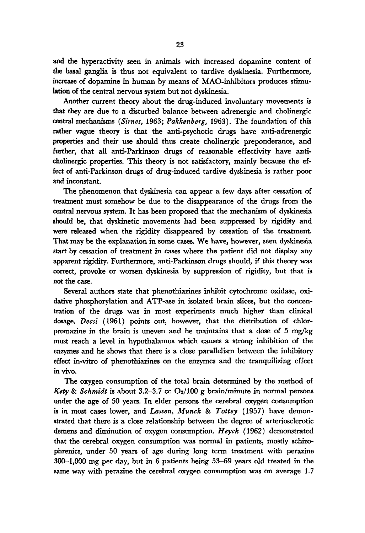and the hyperactivity seen in animals with increased dopamine content of **the** basal ganglia is thus not equivalent to tardive dyskinesia. Furthermore, increase of dopamine in human by means of MAO-inhibitors produces stimu**lation** of the central nervous system but not dyskinesia.

Another current theory about the drug-induced involuntary movements is that they *are* due to a disturbed balance between adrenergic and cholinergic centraI mechanisms *(Sirnes,* **1963;** *Pukkenberg,* **1963).** The foundation of this rather vague theory is that the anti-psychotic drugs have anti-adrenergic properties and their use should thus create cholinergic preponderance, and further, that all anti-Parkinson drugs of reasonable effectivity have anticholinergic properties. This theory is not satisfactory, mainly because the effect of anti-Parkinson drugs of drug-induced tardive dyskinesia is rather poor and inconstant.

The phenomenon that dyskinesia can appear a few days after cessation of treatment must somehow be due to the disappearance of the drugs from the central nervous system. It has been proposed that the mechanism of dyskinesia should be, that dyskinetic movements had been suppressed by rigidity and were released when the rigidity disappeared by cessation of the treatment. That may be the explanation in some cases. **We** have, however, seen dyskinesia **start** by cessation of treatment in cases where the patient did not display any apparent rigidity. Furthermore, anti-Parkinson drugs should, if this theory was correct, provoke **or** worsen dyskinesia by suppression of rigidity, but that is not the case.

Several authors state that phenothiazines inhibit cytochrome oxidase, **oxi**dative phosphorylation and **ATP-ase** in isolated brain slices, but the concentration of the **drugs** was in most experiments much higher than clinical dosage. *Decsi* **(1961)** points out, however, that the distribution of chlorpromazine in the brain is uneven and he maintains that a dose of **5** mg/kg must reach a level in hypothalamus which causes a strong inhibition of the enzymes and he shows that there is a close parallelism between the inhibitory effect in-vitro of phenothiazines on the **enzymes** and the tranquilizing effect in Vivo.

The oxygen consumption of the total brain determined by the method of *Kety* & *Schmidt* is about **3.2-3.7** *cc* **Oz/lOO** g brain/minute in normal persons under the age of **50** years. In elder persons the cerebral oxygen consumption **is** in most cases lower, and *Lassen, Munck* & *Tottey* **(1957)** have demonstrated that there is a close relationship between the degree of arteriosclerotic demens and diminution of oxygen consumption. *Heyck* **(1962)** demonstrated that the cerebral oxygen consumption was normal in patients, mostly schizophrenics, under 50 years of age during long term treatment with perazine **300-1,000** mg per day, but in 6 patients being **53-69** years old treated in the same way with perazine the cerebral oxygen consumption was on average **1.7**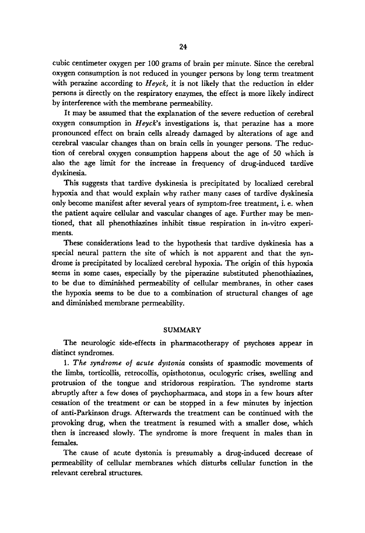cubic centimeter oxygen per 100 grams of brain per minute. Since the cerebral oxygen consumption is not reduced in younger persons by **long** term treatment with perazine according to *Heyck,* it is not likely that the reduction in elder persons **is** directly on the respiratory enzymes, the effect is more likely indirect by interference with the membrane permeability.

It may be assumed that the explanation of the severe reduction of cerebral oxygen consumption in *Heyck's* investigations is, that perazine has a more pronounced effect on brain cells already damaged by alterations of age and cerebral vascular changes than on brain cells in younger persons. The reduction of cerebral oxygen consumption happens about the age of 50 which is also the age limit for the increase in frequency of drug-induced tardive dyskinesia.

This suggests that tardive dyskinesia is precipitated by localized cerebral hypoxia and that would explain why rather many cases of tardive dyskinesia only become manifest after several years of symptom-free treatment, i. e. when the patient aquire cellular and vascular changes of age. Further may be mentioned, that all phenothiazines inhibit tissue respiration in in-vitro experiments.

These considerations lead to the hypothesis that tardive dyskinesia has a special neural pattern the site of which is not apparent and that the syndrome is precipitated by localized cerebral hypoxia. The origin of this hypoxia seems in some cases, especially by the piperazine substituted phenothiazines, to be due to diminished permeability of cellular membranes, in other cases the hypoxia seems to be due to a combination of structural changes of age and diminished membrane permeability.

### **SUMMARY**

The neurologic side-effects in pharmacotherapy of psychoses appear in distinct syndromes.

1. *The syndrome of acute dystonia* consists of spasmodic movements of the limbs, torticollis, retrocollis, opisthotonus, oculogyric crises, swelling and protrusion of the tongue and stridorous respiration. The syndrome starts abruptly after a few doses of psychopharmaca, and stops in a few hours after cessation of the treatment or can be stopped in a few minutes by injection of anti-Parkinson drugs. Afterwards the treatment can be continued with the provoking drug, when the treatment **is** resumed with a smaller dose, which then is increased slowly. The syndrome is more frequent in males than **in**  females.

The cause of acute dystonia is presumably a drug-induced decrease of permeability of cellular membranes which disturbs cellular function in the relevant cerebral structures.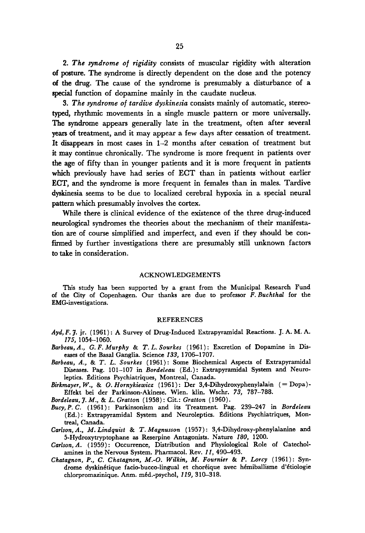*2. The syndrome of rigidity* consists of muscular rigidity with alteration **of posture.** The syndrome is directly dependent on the dose and the potency of the drug. The cause of the syndrome **is** presumably a disturbance of a **special** function of dopamine mainly in the caudate nucleus.

*3. The syndrome of tardive dyskinesia* consists mainly of automatic, stereotyped, rhythmic movements in a single muscle pattern or more universally. The syndrome appears generally late in the treatment, often after several **years** of treatment, and it may appear a few days after cessation of treatment. It disappears in most cases in 1-2 months after cessation of treatment but it may continue chronically. The syndrome is more frequent in patients over the age of fifty than in younger patients and it is more frequent in patients which previously have had series of ECT than in patients without earlier **ECT,** and the syndrome is more frequent in females than in males. Tardive dyskinesia seems to be due to localized cerebral hypoxia in a special neural pattern which presumably involves the cortex.

While there is clinical evidence of the existence of the three drug-induced neurological syndromes the theories about the mechanism of their manifestation are of course simplified and imperfect, and even if they should be confirmed by further investigations there are presumably still unknown factors *to* take in consideration.

#### ACKNOWLEDGEMENTS

This study has been supported by a grant from the Municipal Research Fund of the City of Copenhagen. Our thanks are due to professor *F.Buchthal* for the EMG-investigations.

#### REFERENCES

- *Ayd, F.* 3. **jr.** (1961) : A Survey of Drug-Induced Extrapyramidal Reactions. J. A. M. A. *175,* 1054-1060.
- *Barbeau,* A., *G. F. Murphy* & *T. L. Sourkes* (1961) : Excretion of Dopamine in Diseases of the Basal Ganglia. Science *133,* 1706-1707.
- *Barbeau, A.,* & *T. L. Sourkes* (1961): Some Biochemical Aspects of Extrapyramidal **Diseases.** Pag. 101-107 in *Bordeleau* (Ed.): Extrapyramidal System and Neuroleptics. Editions Psychiatriques, Montreal, Canada.
- *Birkmayer, W.,* & *0. Hornykiewicr* (1961) : Der **3,4-Dihydroxyphenylalain** ( = Dopa) Effekt bei der Parkinson-Akinese. Wien. klin. Wschr. *73,* 787-788.

*Bordeleau,* **3.** *M.,* & *L. Gratton* (1958) : Cit.: *Gratton* (1960).

- *Bucy, P.* C. ( 1961) : Parkinsonism and its Treatment. Pag. 239-247 in *Bordeleau*  (Ed.) : Extrapyramidal System and Neuroleptics. Editions Psychiatriques, Montreal, Canada.
- Carlson, A., M. Lindquist & T. Magnusson (1957): 3,4-Dihydroxy-phenylalanine and 5-Hydroxytryptophane **as** Reserpine Antagonists. Nature *180,* 1200.
- *Carlson, A.* (1959) : Occurrence, Distribution and Physiological Role of Catecholamines in the Nervous System. Pharmacol. Rev. *11,* 490-493.
- *Chatagnon, P., C. Chatagnon, M.-0. Wilkin, M. Fournier* & *P. Lorcy* (1961): Syndrome dyskinétique facio-bucco-lingual et choréique avec hémiballisme d'étiologie chlorpromazinique. Anm. méd.-psychol, *119*, 310-318.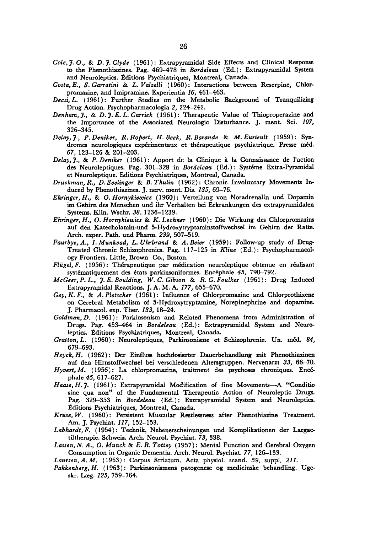- *Cole, 3. O.,* & *D. 3. Clyde* **(1961)** : Extrapyramidal Side Effects and Clinical Response to the Phenothiazines. Pag. **469-478** in *Bordeleau* (Ed.) : Extrapyramidal System and Neuroleptics. Éditions Psychiatriques, Montreal, Canada.
- *Costa, E., 5'. Garratini* & *L. Valzelli* **(1960)** : Interactions between Reserpine, Chlorpromazine, and Imipramine. Experientia **16, 461-463.**
- *Decsi, L.* **(1961)** : Further Studies on the Metabolic Background of Tranquilizing Drug Action. Psychopharmacologia 2, **224-242.**
- *Denham, 3.,* & *D. 3. E. L. Carrick* **(1961)** : Therapeutic Value of Thioproperazine and the Importance of the Associated Neurologic Disturbance. J. ment. Sci. **107, 3 26-345.**
- *Delay,* **3.,** *P. Deniker, R. Ropert, H. Beek, R. Barande* & *M. Eurieult* **(1959)** : **Syn**dromes neurologiques expérimentaux et thérapeutique psychiatrique. Presse méd. **67, 123-126** & **201-203.**
- *Delay,3.,* & *P. Deniker* **(1961):** Apport de la Clinique *B* la Connaissance de l'action des Neuroleptiques. Pag. **301-328** in *Bordeleau* (Ed.) : Systkme Extra-Pyramidal et Neuroleptique. Editions Psychiatriques, Montreal, Canada.
- *Druckman, R., D. Seelinger* & *B. Thulin* **(1962)** : Chronic Involuntary Movements Induced by Phenothiazines. **J.** new. ment. Dis. **135,69-76.**
- *Ehringer, H.,* & *0. Hornykiewicz* **(1960)** : Verteilung von Noradrenalin und Dopamin im Gehirn des Menschen und ihr Verhalten bei Erkrankungen des extrapyramidalen Systems. Klin. Wschr. 38, 1236-1239.
- *Ehringer, H.,* **0.** *Hornykiewics* & *K. Lechner* **(1960)** : Die Wirkung des Chlorpromazins auf den Katecholamin-und **5-Hydroxytryptaminstoffwechsel** im **Gehirn** der Ratte. Arch. exper. Path. und Pharm. **239, 507-519.**
- *Faurbye, A., I. Munkvad, L. Uhrbrand* & *A. Beier* **(1959)** : Follow-up study of Drug-Treated Chronic Schizophrenics. Pag. **117-125** in *Kline* (Ed.) : Psychopharmacol*ogy* Frontiers. Little, Brown Co., Boston.
- *Flügel, F.* (1956): Thérapeutique par médication neuroleptique obtenue en réalisant systématiquement des états parkinsoniformes. Encéphale 45, 790-792.
- *McGeer, P. L., 3. E. Boulding, W. C. Gibson* & *R. G. Foulkes* **(1961):** Drug Induced Extrapyramidal Reactions. J. A. M. A. **177,655-670.**
- *Gey, K. F.,* & *A. Pletscher* **(1961)** : Influence of Chlorpromazine and Chlorprothixene on Cerebral Metabolism of 5-Hydroxytryptamine, Norepinephrine and dopamine. J. Pharmacol. exp. Ther. **133, 18-24.**
- *Goldman, D.* **(1961)** : Parkinsonism and Related Phenomena from Administration **of**  Drugs. Pag. **453-464** in *Bordeleau* (Ed.): Extrapyramidal System and Neuroleptics. Editions Psychiatriques, Montreal, Canada.
- *Gratton, L.* (1960): Neuroleptiques, Parkinsonisme et Schizophrenie. Un. méd. 84, **679-693.**
- *Heyck, H.* **(1962)** : Der Einfluss hochdosierter Dauerbehandlung mit Phenothiazinen auf den Hirnstoffwechsel bei verschiedenen Altersgruppen. Nervenarzt **33, 66-70.**
- *Hyuert, M.* **(1956)** : La chlorpromazine, traitment des psychoses chroniques. Enc& phale *45,* **617-627.**
- Haase, H. 7. (1961): Extrapyramidal Modification of fine Movements-A "Conditio sine qua non" of the Fundamental Therapeutic Action of Neuroleptic Drugs. Pag. **329-353** in *Bordeleau* (Ed.) : Extrapyramidal System and Neuroleptics. Editions Psychiatriques, Montreal, Canada.
- *Kruse, W.* **(1960)** : Persistent Muscular Restlessness after Phenothiazine Treatment. **Am.** J. Psychiat. **117, 152-153.**
- *Labhardt, F.* **(1954)** : Technik, Nebenerscheinungen und Komplikationen der Largactiltherapie. Schweiz. Arch. Neurol. Psychiat. **73, 338.**
- *Larsen, N. A., 0. Munck* & *E. R. Tottey* **(1957)** : Mental Function and Cerebral Oxygen Consumption in Organic Dementia. Arch. Neurol. Psychiat. 77, 126-133.

*Laursen, A. M.* **(1963)** : Corpus Striatum. Acta physiol. scand. *59,* suppl. *211.* 

*Pakkenberg, H.* **(1963)** : Parkinsonismens patogenese og medicinske behandling. Ugeskr. Lzg. *125,* **759-764.**